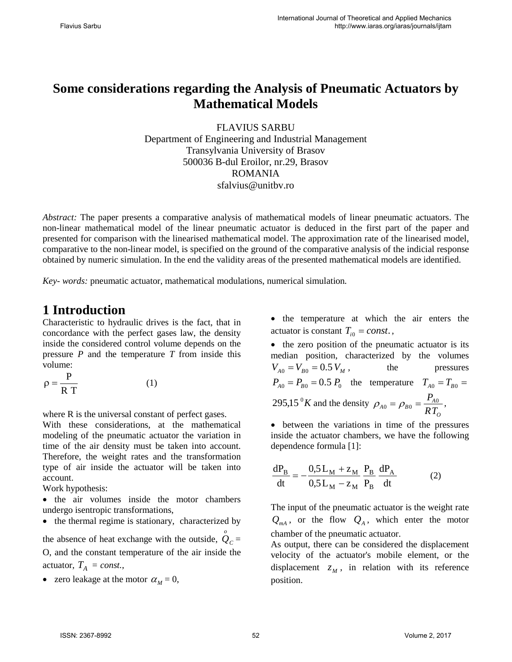# **Some considerations regarding the Analysis of Pneumatic Actuators by Mathematical Models**

FLAVIUS SARBU Department of Engineering and Industrial Management Transylvania University of Brasov 500036 B-dul Eroilor, nr.29, Brasov ROMANIA sfalvius@unitbv.ro

*Abstract:* The paper presents a comparative analysis of mathematical models of linear pneumatic actuators. The non-linear mathematical model of the linear pneumatic actuator is deduced in the first part of the paper and presented for comparison with the linearised mathematical model. The approximation rate of the linearised model, comparative to the non-linear model, is specified on the ground of the comparative analysis of the indicial response obtained by numeric simulation. In the end the validity areas of the presented mathematical models are identified.

*Key- words:* pneumatic actuator, mathematical modulations, numerical simulation*.*

## **1 Introduction**

Characteristic to hydraulic drives is the fact, that in concordance with the perfect gases law, the density inside the considered control volume depends on the pressure *P* and the temperature *T* from inside this volume:

$$
\rho = \frac{P}{R T}
$$
 (1)

where R is the universal constant of perfect gases.

With these considerations, at the mathematical modeling of the pneumatic actuator the variation in time of the air density must be taken into account. Therefore, the weight rates and the transformation type of air inside the actuator will be taken into account.

Work hypothesis:

• the air volumes inside the motor chambers undergo isentropic transformations,

• the thermal regime is stationary, characterized by

the absence of heat exchange with the outside,  $\hat{Q}_c =$ O, and the constant temperature of the air inside the actuator,  $T_A = const.$ ,

• zero leakage at the motor  $\alpha_M = 0$ ,

• the temperature at which the air enters the actuator is constant  $T_{i0} = const.$ ,

• the zero position of the pneumatic actuator is its median position, characterized by the volumes  $V_{A0} = V_{B0} = 0.5 V_{M}$ , the pressures  $P_{A0} = P_{B0} = 0.5 P_0$  the temperature  $T_{A0} = T_{B0} =$ 295,15 $\mathrm{^0}K$  and the density *O*  $\rho_{A0} = \rho_{B0} = \frac{P_{A0}}{RT_o},$ 

• between the variations in time of the pressures inside the actuator chambers, we have the following dependence formula [1]:

$$
\frac{dP_B}{dt} = -\frac{0.5 L_M + z_M}{0.5 L_M - z_M} \frac{P_B}{P_B} \frac{dP_A}{dt}
$$
 (2)

The input of the pneumatic actuator is the weight rate  $Q_{mA}$ , or the flow  $Q_A$ , which enter the motor chamber of the pneumatic actuator.

As output, there can be considered the displacement velocity of the actuator's mobile element, or the displacement  $Z_M$ , in relation with its reference position.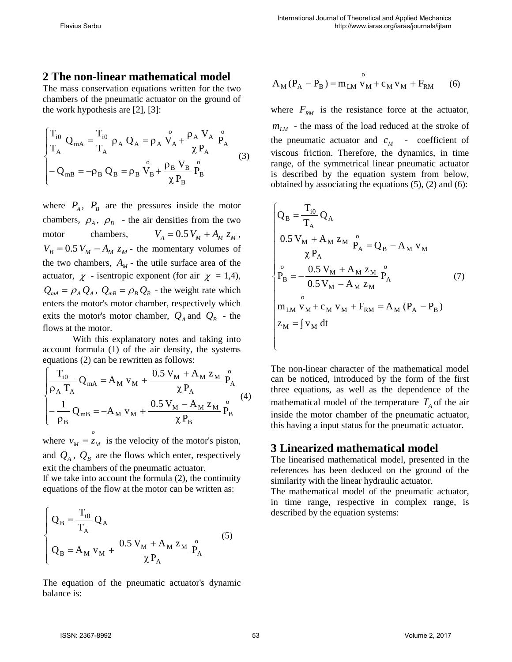#### **2 The non-linear mathematical model**

The mass conservation equations written for the two chambers of the pneumatic actuator on the ground of the work hypothesis are [2], [3]:

$$
\begin{cases}\n\frac{T_{i0}}{T_A} Q_{mA} = \frac{T_{i0}}{T_A} \rho_A Q_A = \rho_A \stackrel{\circ}{V_A} + \frac{\rho_A V_A}{\chi P_A} \stackrel{\circ}{P_A} \\
- Q_{mB} = -\rho_B Q_B = \rho_B \stackrel{\circ}{V_B} + \frac{\rho_B V_B}{\chi P_B} \stackrel{\circ}{P_B}\n\end{cases} (3)
$$

where  $P_A$ ,  $P_B$  are the pressures inside the motor chambers,  $\rho_A$ ,  $\rho_B$  - the air densities from the two motor chambers,  $V_A = 0.5 V_M + A_M z_M$ ,  $V_B = 0.5 V_M - A_M z_M$  - the momentary volumes of the two chambers,  $A_M$  - the utile surface area of the actuator,  $\chi$  - isentropic exponent (for air  $\chi$  = 1,4),  $Q_{mA} = \rho_A Q_A$ ,  $Q_{mB} = \rho_B Q_B$  - the weight rate which enters the motor's motor chamber, respectively which exits the motor's motor chamber,  $Q_A$  and  $Q_B$  - the flows at the motor.

With this explanatory notes and taking into account formula (1) of the air density, the systems equations (2) can be rewritten as follows:

$$
\begin{cases}\n\frac{T_{i0}}{\rho_A T_A} Q_{mA} = A_M v_M + \frac{0.5 V_M + A_M z_M}{\chi P_A} P_A^0 \\
-\frac{1}{\rho_B} Q_{mB} = -A_M v_M + \frac{0.5 V_M - A_M z_M}{\chi P_B} P_B^0\n\end{cases} (4)
$$

where  $v_M = z_M$  is the velocity of the motor's piston, *o* and  $Q_A$ ,  $Q_B$  are the flows which enter, respectively exit the chambers of the pneumatic actuator. If we take into account the formula (2), the continuity

equations of the flow at the motor can be written as:

$$
\begin{cases}\nQ_B = \frac{T_{i0}}{T_A} Q_A \\
Q_B = A_M v_M + \frac{0.5 V_M + A_M z_M}{\chi P_A} P_A^0\n\end{cases} (5)
$$

The equation of the pneumatic actuator's dynamic balance is:

$$
A_{M}(P_{A} - P_{B}) = m_{LM}^{o} v_{M} + c_{M} v_{M} + F_{RM}
$$
 (6)

where  $F_{RM}$  is the resistance force at the actuator,  $m_{LM}$  - the mass of the load reduced at the stroke of the pneumatic actuator and  $c_M$  - coefficient of viscous friction. Therefore, the dynamics, in time range, of the symmetrical linear pneumatic actuator is described by the equation system from below, obtained by associating the equations  $(5)$ ,  $(2)$  and  $(6)$ :

$$
\begin{cases}\nQ_B = \frac{T_{i0}}{T_A} Q_A \\
\frac{0.5 V_M + A_M z_M}{\chi P_A} P_A = Q_B - A_M v_M \\
P_B = -\frac{0.5 V_M + A_M z_M}{0.5 V_M - A_M z_M} P_A \\
0 \\
\lim_{\text{LM}} v_M + c_M v_M + F_{RM} = A_M (P_A - P_B) \\
z_M = \int v_M dt\n\end{cases} (7)
$$

The non-linear character of the mathematical model can be noticed, introduced by the form of the first three equations, as well as the dependence of the mathematical model of the temperature  $T_A$  of the air inside the motor chamber of the pneumatic actuator, this having a input status for the pneumatic actuator.

#### **3 Linearized mathematical model**

The linearised mathematical model, presented in the references has been deduced on the ground of the similarity with the linear hydraulic actuator.

The mathematical model of the pneumatic actuator, in time range, respective in complex range, is described by the equation systems: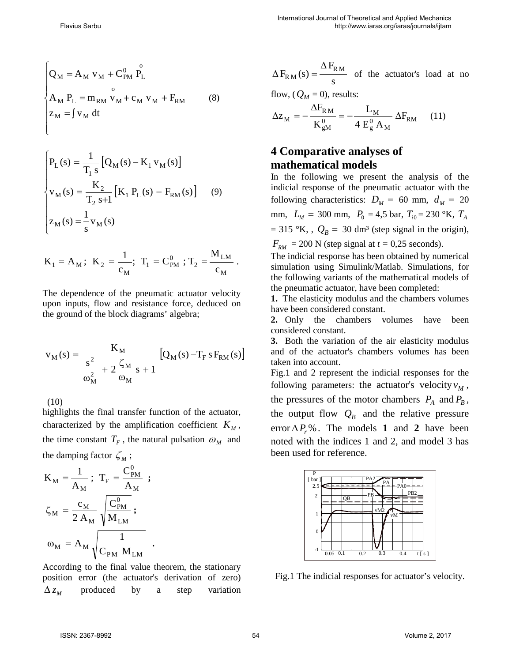$$
\begin{cases}\nQ_M = A_M v_M + C_{PM}^0 P_L^0 \\
A_M P_L = m_{RM} v_M + c_M v_M + F_{RM} \\
z_M = \int v_M dt\n\end{cases}
$$
\n(8)

$$
\begin{cases}\nP_{L}(s) = \frac{1}{T_{1} s} [Q_{M}(s) - K_{1} v_{M}(s)] \\
v_{M}(s) = \frac{K_{2}}{T_{2} s + 1} [K_{1} P_{L}(s) - F_{RM}(s)]\n\end{cases} (9)
$$
\n
$$
z_{M}(s) = \frac{1}{s} v_{M}(s)
$$

$$
K_1 = A_M
$$
;  $K_2 = \frac{1}{c_M}$ ;  $T_1 = C_{PM}^0$ ;  $T_2 = \frac{M_{LM}}{c_M}$ .

The dependence of the pneumatic actuator velocity upon inputs, flow and resistance force, deduced on the ground of the block diagrams' algebra;

$$
v_{M}(s) = \frac{K_{M}}{\frac{s^{2}}{\omega_{M}^{2}} + 2\frac{\zeta_{M}}{\omega_{M}}s + 1} [Q_{M}(s) - T_{F}sF_{RM}(s)]
$$

(10)

highlights the final transfer function of the actuator, characterized by the amplification coefficient  $K_M$ , the time constant  $T_F$ , the natural pulsation  $\omega_M$  and the damping factor  $\zeta_M$ ;

$$
K_{M} = \frac{1}{A_{M}}; T_{F} = \frac{C_{PM}^{0}}{A_{M}};
$$

$$
\zeta_{M} = \frac{c_{M}}{2 A_{M}} \sqrt{\frac{C_{PM}^{0}}{M_{LM}}};
$$

$$
\omega_{M} = A_{M} \sqrt{\frac{1}{C_{PM} M_{LM}}}.
$$

According to the final value theorem, the stationary position error (the actuator's derivation of zero)  $\Delta z_{M}$  produced by a step variation

s  $F_{\rm RM}(\text{s}) = \frac{\Delta F_{\rm RM}}{2}$ ∆  $\Delta F_{\rm RM}(s) = \frac{-\kappa_{\rm M}}{s}$  of the actuator's load at no

flow,  $(Q_M = 0)$ , results:

$$
\Delta z_M = -\frac{\Delta F_{RM}}{K_{gM}^0} = -\frac{L_M}{4 E_g^0 A_M} \Delta F_{RM} \quad (11)
$$

### **4 Comparative analyses of mathematical models**

In the following we present the analysis of the indicial response of the pneumatic actuator with the following characteristics:  $D_M = 60$  mm,  $d_M = 20$ mm,  $L_M = 300$  mm,  $P_0 = 4.5$  bar,  $T_{i0} = 230$  °K,  $T_A$  $= 315 \text{ °K},$ ,  $Q_B = 30 \text{ dm}^3$  (step signal in the origin),  $F_{RM}$  = 200 N (step signal at  $t = 0.25$  seconds).

The indicial response has been obtained by numerical simulation using Simulink/Matlab. Simulations, for the following variants of the mathematical models of the pneumatic actuator, have been completed:

**1.** The elasticity modulus and the chambers volumes have been considered constant.

**2.** Only the chambers volumes have been considered constant.

**3.** Both the variation of the air elasticity modulus and of the actuator's chambers volumes has been taken into account.

Fig.1 and 2 represent the indicial responses for the following parameters: the actuator's velocity  $v_M$ , the pressures of the motor chambers  $P_A$  and  $P_B$ , the output flow  $Q_B$  and the relative pressure error  $\Delta P_r$ %. The models **1** and **2** have been noted with the indices 1 and 2, and model 3 has been used for reference.



Fig.1 The indicial responses for actuator's velocity.